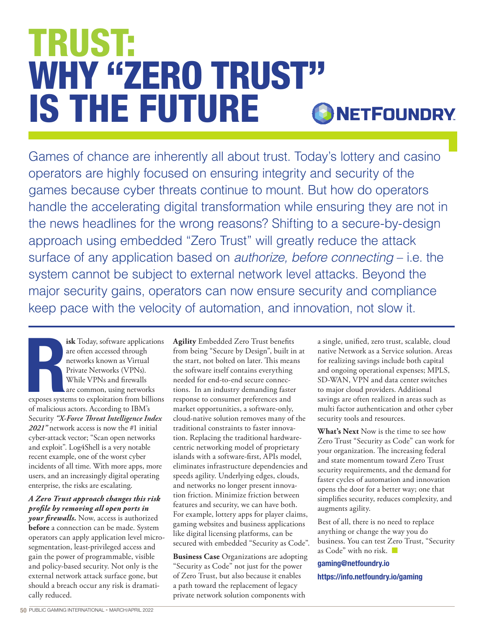# TRUST: WHY "ZERO TRUST" IS THE FUTURE**ONETFOUNDRY**

Games of chance are inherently all about trust. Today's lottery and casino operators are highly focused on ensuring integrity and security of the games because cyber threats continue to mount. But how do operators handle the accelerating digital transformation while ensuring they are not in the news headlines for the wrong reasons? Shifting to a secure-by-design approach using embedded "Zero Trust" will greatly reduce the attack surface of any application based on *authorize, before connecting* – i.e. the system cannot be subject to external network level attacks. Beyond the major security gains, operators can now ensure security and compliance keep pace with the velocity of automation, and innovation, not slow it.

Responses system **isk** Today, software applications are often accessed through networks known as Virtual Private Networks (VPNs). While VPNs and firewalls are common, using networks exposes systems to exploitation from billions of malicious actors. According to IBM's Security *"X-Force Threat Intelligence Index 2021"* network access is now the #1 initial cyber-attack vector; "Scan open networks and exploit". Log4Shell is a very notable recent example, one of the worst cyber incidents of all time. With more apps, more users, and an increasingly digital operating enterprise, the risks are escalating.

## *A Zero Trust approach changes this risk profile by removing all open ports in*

*your firewalls.* Now, access is authorized **before** a connection can be made. System operators can apply application level microsegmentation, least-privileged access and gain the power of programmable, visible and policy-based security. Not only is the external network attack surface gone, but should a breach occur any risk is dramatically reduced.

**Agility** Embedded Zero Trust benefits from being "Secure by Design", built in at the start, not bolted on later. This means the software itself contains everything needed for end-to-end secure connections. In an industry demanding faster response to consumer preferences and market opportunities, a software-only, cloud-native solution removes many of the traditional constraints to faster innovation. Replacing the traditional hardwarecentric networking model of proprietary islands with a software-first, APIs model, eliminates infrastructure dependencies and speeds agility. Underlying edges, clouds, and networks no longer present innovation friction. Minimize friction between features and security, we can have both. For example, lottery apps for player claims, gaming websites and business applications like digital licensing platforms, can be secured with embedded "Security as Code".

**Business Case** Organizations are adopting "Security as Code" not just for the power of Zero Trust, but also because it enables a path toward the replacement of legacy private network solution components with

a single, unified, zero trust, scalable, cloud native Network as a Service solution. Areas for realizing savings include both capital and ongoing operational expenses; MPLS, SD-WAN, VPN and data center switches to major cloud providers. Additional savings are often realized in areas such as multi factor authentication and other cyber security tools and resources.

**What's Next** Now is the time to see how Zero Trust "Security as Code" can work for your organization. The increasing federal and state momentum toward Zero Trust security requirements, and the demand for faster cycles of automation and innovation opens the door for a better way; one that simplifies security, reduces complexity, and augments agility.

Best of all, there is no need to replace anything or change the way you do business. You can test Zero Trust, "Security as Code" with no risk.  $\Box$ 

## gaming@netfoundry.io https://info.netfoundry.io/gaming